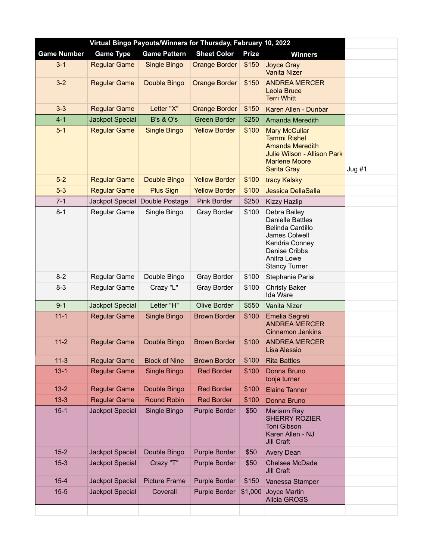| Virtual Bingo Payouts/Winners for Thursday, February 10, 2022 |                        |                      |                      |              |                                                                                                                                                               |       |  |
|---------------------------------------------------------------|------------------------|----------------------|----------------------|--------------|---------------------------------------------------------------------------------------------------------------------------------------------------------------|-------|--|
| <b>Game Number</b>                                            | <b>Game Type</b>       | <b>Game Pattern</b>  | <b>Sheet Color</b>   | <b>Prize</b> | <b>Winners</b>                                                                                                                                                |       |  |
| $3 - 1$                                                       | <b>Regular Game</b>    | Single Bingo         | <b>Orange Border</b> | \$150        | Joyce Gray<br><b>Vanita Nizer</b>                                                                                                                             |       |  |
| $3-2$                                                         | <b>Regular Game</b>    | Double Bingo         | <b>Orange Border</b> | \$150        | <b>ANDREA MERCER</b><br>Leola Bruce<br><b>Terri Whitt</b>                                                                                                     |       |  |
| $3 - 3$                                                       | <b>Regular Game</b>    | Letter "X"           | <b>Orange Border</b> | \$150        | Karen Allen - Dunbar                                                                                                                                          |       |  |
| $4 - 1$                                                       | <b>Jackpot Special</b> | <b>B's &amp; O's</b> | <b>Green Border</b>  | \$250        | Amanda Meredith                                                                                                                                               |       |  |
| $5-1$                                                         | <b>Regular Game</b>    | <b>Single Bingo</b>  | <b>Yellow Border</b> | \$100        | <b>Mary McCullar</b><br><b>Tammi Rishel</b><br><b>Amanda Meredith</b><br><b>Julie Wilson - Allison Park</b><br><b>Marlene Moore</b><br><b>Sarita Gray</b>     | Jug#1 |  |
| $5-2$                                                         | <b>Regular Game</b>    | Double Bingo         | <b>Yellow Border</b> | \$100        | tracy Kalsky                                                                                                                                                  |       |  |
| $5-3$                                                         | <b>Regular Game</b>    | <b>Plus Sign</b>     | <b>Yellow Border</b> | \$100        | Jessica DellaSalla                                                                                                                                            |       |  |
| $7 - 1$                                                       | Jackpot Special        | Double Postage       | Pink Border          | \$250        | <b>Kizzy Hazlip</b>                                                                                                                                           |       |  |
| $8 - 1$                                                       | Regular Game           | Single Bingo         | <b>Gray Border</b>   | \$100        | Debra Bailey<br><b>Danielle Battles</b><br><b>Belinda Cardillo</b><br>James Colwell<br>Kendria Conney<br>Denise Cribbs<br>Anitra Lowe<br><b>Stancy Turner</b> |       |  |
| $8 - 2$                                                       | Regular Game           | Double Bingo         | <b>Gray Border</b>   | \$100        | Stephanie Parisi                                                                                                                                              |       |  |
| $8 - 3$                                                       | Regular Game           | Crazy "L"            | <b>Gray Border</b>   | \$100        | <b>Christy Baker</b><br>Ida Ware                                                                                                                              |       |  |
| $9 - 1$                                                       | Jackpot Special        | Letter "H"           | <b>Olive Border</b>  | \$550        | Vanita Nizer                                                                                                                                                  |       |  |
| $11 - 1$                                                      | <b>Regular Game</b>    | Single Bingo         | <b>Brown Border</b>  | \$100        | Emelia Segreti<br><b>ANDREA MERCER</b><br><b>Cinnamon Jenkins</b>                                                                                             |       |  |
| $11 - 2$                                                      | <b>Regular Game</b>    | Double Bingo         | <b>Brown Border</b>  | \$100        | <b>ANDREA MERCER</b><br>Lisa Alessio                                                                                                                          |       |  |
| $11-3$                                                        | <b>Regular Game</b>    | <b>Block of Nine</b> | <b>Brown Border</b>  | \$100        | <b>Rita Battles</b>                                                                                                                                           |       |  |
| $13 - 1$                                                      | <b>Regular Game</b>    | Single Bingo         | <b>Red Border</b>    | \$100        | Donna Bruno<br>tonja turner                                                                                                                                   |       |  |
| $13 - 2$                                                      | <b>Regular Game</b>    | Double Bingo         | <b>Red Border</b>    | \$100        | <b>Elaine Tanner</b>                                                                                                                                          |       |  |
| $13 - 3$                                                      | <b>Regular Game</b>    | <b>Round Robin</b>   | <b>Red Border</b>    | \$100        | Donna Bruno                                                                                                                                                   |       |  |
| $15 - 1$                                                      | <b>Jackpot Special</b> | Single Bingo         | Purple Border        | \$50         | Mariann Ray<br><b>SHERRY ROZIER</b><br><b>Toni Gibson</b><br>Karen Allen - NJ<br><b>Jill Craft</b>                                                            |       |  |
| $15 - 2$                                                      | Jackpot Special        | Double Bingo         | Purple Border        | \$50         | <b>Avery Dean</b>                                                                                                                                             |       |  |
| $15-3$                                                        | Jackpot Special        | Crazy "T"            | Purple Border        | \$50         | Chelsea McDade<br><b>Jill Craft</b>                                                                                                                           |       |  |
| $15 - 4$                                                      | Jackpot Special        | <b>Picture Frame</b> | Purple Border        | \$150        | Vanessa Stamper                                                                                                                                               |       |  |
| $15 - 5$                                                      | Jackpot Special        | Coverall             | Purple Border        | \$1,000      | Joyce Martin<br><b>Alicia GROSS</b>                                                                                                                           |       |  |
|                                                               |                        |                      |                      |              |                                                                                                                                                               |       |  |